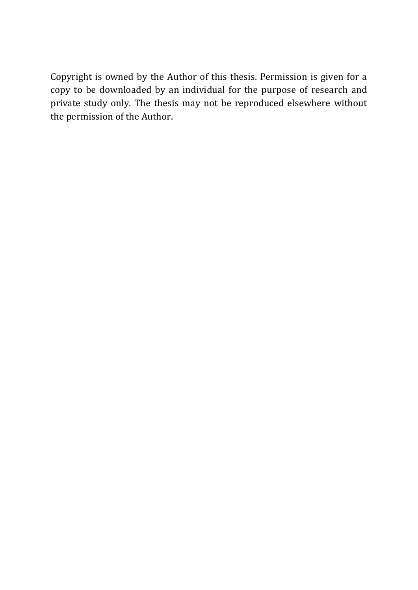Copyright is owned by the Author of this thesis. Permission is given for a copy to be downloaded by an individual for the purpose of research and private study only. The thesis may not be reproduced elsewhere without the permission of the Author.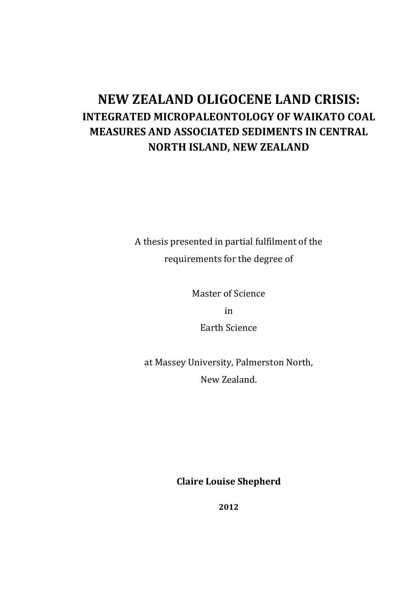## **NEW ZEALAND OLIGOCENE LAND CRISIS: INTEGRATED MICROPALEONTOLOGY OF WAIKATO COAL MEASURES AND ASSOCIATED SEDIMENTS IN CENTRAL NORTH ISLAND, NEW ZEALAND**

A thesis presented in partial fulfilment of the requirements for the degree of

Master of Science

in

Earth Science

at Massey University, Palmerston North, New Zealand.

**Claire Louise Shepherd**

**2012**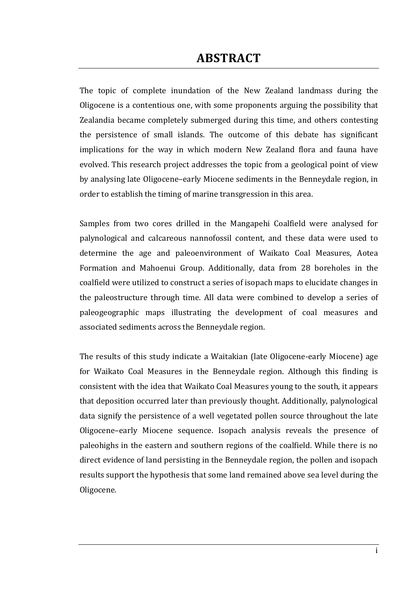#### **ABSTRACT**

<span id="page-2-0"></span>The topic of complete inundation of the New Zealand landmass during the Oligocene is a contentious one, with some proponents arguing the possibility that Zealandia became completely submerged during this time, and others contesting the persistence of small islands. The outcome of this debate has significant implications for the way in which modern New Zealand flora and fauna have evolved. This research project addresses the topic from a geological point of view by analysing late Oligocene–early Miocene sediments in the Benneydale region, in order to establish the timing of marine transgression in this area.

Samples from two cores drilled in the Mangapehi Coalfield were analysed for palynological and calcareous nannofossil content, and these data were used to determine the age and paleoenvironment of Waikato Coal Measures, Aotea Formation and Mahoenui Group. Additionally, data from 28 boreholes in the coalfield were utilized to construct a series of isopach maps to elucidate changes in the paleostructure through time. All data were combined to develop a series of paleogeographic maps illustrating the development of coal measures and associated sediments across the Benneydale region.

The results of this study indicate a Waitakian (late Oligocene-early Miocene) age for Waikato Coal Measures in the Benneydale region. Although this finding is consistent with the idea that Waikato Coal Measures young to the south, it appears that deposition occurred later than previously thought. Additionally, palynological data signify the persistence of a well vegetated pollen source throughout the late Oligocene–early Miocene sequence. Isopach analysis reveals the presence of paleohighs in the eastern and southern regions of the coalfield. While there is no direct evidence of land persisting in the Benneydale region, the pollen and isopach results support the hypothesis that some land remained above sea level during the Oligocene.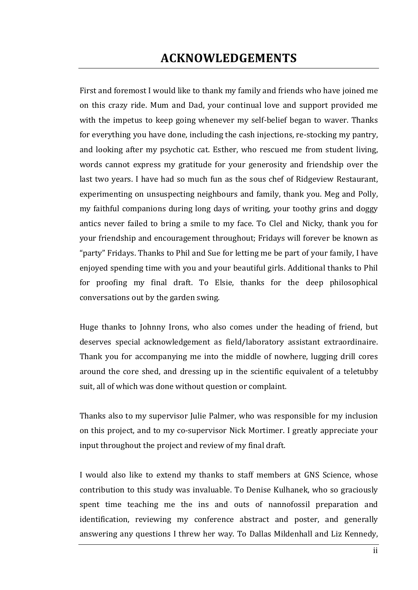#### **ACKNOWLEDGEMENTS**

<span id="page-3-0"></span>First and foremost I would like to thank my family and friends who have joined me on this crazy ride. Mum and Dad, your continual love and support provided me with the impetus to keep going whenever my self-belief began to waver. Thanks for everything you have done, including the cash injections, re-stocking my pantry, and looking after my psychotic cat. Esther, who rescued me from student living, words cannot express my gratitude for your generosity and friendship over the last two years. I have had so much fun as the sous chef of Ridgeview Restaurant, experimenting on unsuspecting neighbours and family, thank you. Meg and Polly, my faithful companions during long days of writing, your toothy grins and doggy antics never failed to bring a smile to my face. To Clel and Nicky, thank you for your friendship and encouragement throughout; Fridays will forever be known as "party" Fridays. Thanks to Phil and Sue for letting me be part of your family, I have enjoyed spending time with you and your beautiful girls. Additional thanks to Phil for proofing my final draft. To Elsie, thanks for the deep philosophical conversations out by the garden swing.

Huge thanks to Johnny Irons, who also comes under the heading of friend, but deserves special acknowledgement as field/laboratory assistant extraordinaire. Thank you for accompanying me into the middle of nowhere, lugging drill cores around the core shed, and dressing up in the scientific equivalent of a teletubby suit, all of which was done without question or complaint.

Thanks also to my supervisor Julie Palmer, who was responsible for my inclusion on this project, and to my co-supervisor Nick Mortimer. I greatly appreciate your input throughout the project and review of my final draft.

I would also like to extend my thanks to staff members at GNS Science, whose contribution to this study was invaluable. To Denise Kulhanek, who so graciously spent time teaching me the ins and outs of nannofossil preparation and identification, reviewing my conference abstract and poster, and generally answering any questions I threw her way. To Dallas Mildenhall and Liz Kennedy,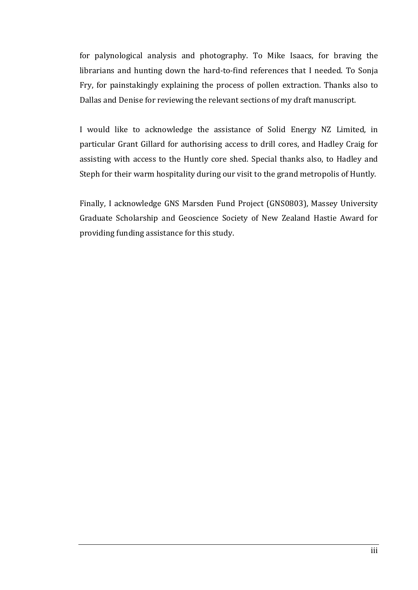for palynological analysis and photography. To Mike Isaacs, for braving the librarians and hunting down the hard-to-find references that I needed. To Sonja Fry, for painstakingly explaining the process of pollen extraction. Thanks also to Dallas and Denise for reviewing the relevant sections of my draft manuscript.

I would like to acknowledge the assistance of Solid Energy NZ Limited, in particular Grant Gillard for authorising access to drill cores, and Hadley Craig for assisting with access to the Huntly core shed. Special thanks also, to Hadley and Steph for their warm hospitality during our visit to the grand metropolis of Huntly.

Finally, I acknowledge GNS Marsden Fund Project (GNS0803), Massey University Graduate Scholarship and Geoscience Society of New Zealand Hastie Award for providing funding assistance for this study.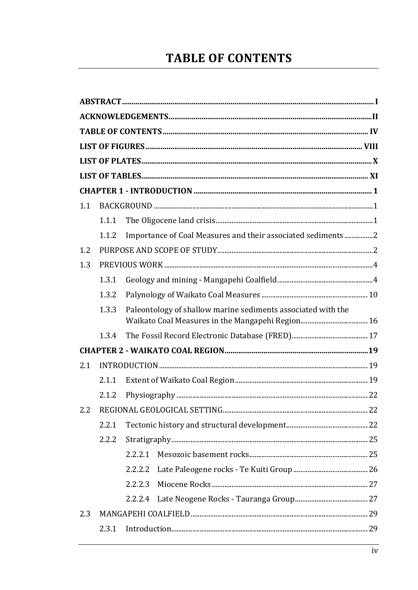# **TABLE OF CONTENTS**

<span id="page-5-0"></span>

| 1.1 |       |                                                              |  |
|-----|-------|--------------------------------------------------------------|--|
|     | 1.1.1 |                                                              |  |
|     | 1.1.2 | Importance of Coal Measures and their associated sediments 2 |  |
| 1.2 |       |                                                              |  |
| 1.3 |       |                                                              |  |
|     | 1,3.1 |                                                              |  |
|     | 1.3.2 |                                                              |  |
|     | 1.3.3 | Paleontology of shallow marine sediments associated with the |  |
|     | 1.3.4 |                                                              |  |
|     |       |                                                              |  |
| 2.1 |       |                                                              |  |
|     | 2.1.1 |                                                              |  |
|     | 2.1.2 |                                                              |  |
| 22  |       |                                                              |  |
|     | 2.2.1 |                                                              |  |
|     | 2.2.2 |                                                              |  |
|     |       | 2.2.2.1                                                      |  |
|     |       | 2.2.2.2                                                      |  |
|     |       | 2.2.2.3                                                      |  |
|     |       | 2.2.2.4                                                      |  |
| 2.3 |       |                                                              |  |
|     | 2.3.1 |                                                              |  |
|     |       |                                                              |  |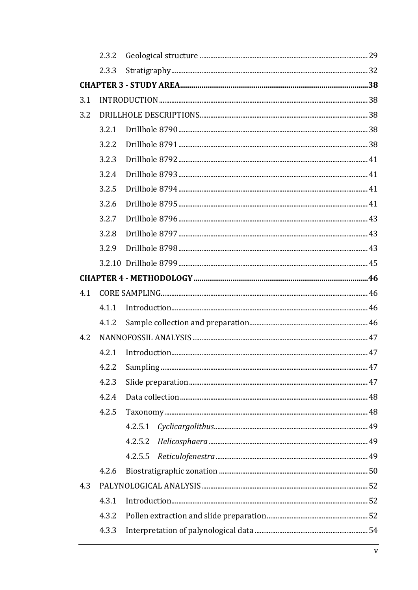|     | 2.3.2 |         |  |
|-----|-------|---------|--|
|     | 2.3.3 |         |  |
|     |       |         |  |
| 3.1 |       |         |  |
| 3.2 |       |         |  |
|     | 3.2.1 |         |  |
|     | 3.2.2 |         |  |
|     | 3.2.3 |         |  |
|     | 3.2.4 |         |  |
|     | 3.2.5 |         |  |
|     | 3.2.6 |         |  |
|     | 3.2.7 |         |  |
|     | 3.2.8 |         |  |
|     | 3.2.9 |         |  |
|     |       |         |  |
|     |       |         |  |
| 4.1 |       |         |  |
|     | 4.1.1 |         |  |
|     | 4.1.2 |         |  |
| 4.2 |       |         |  |
|     | 4.2.1 |         |  |
|     | 4.2.2 |         |  |
|     | 4.2.3 |         |  |
|     | 4.2.4 |         |  |
|     | 4.2.5 |         |  |
|     |       | 4.2.5.1 |  |
|     |       | 4.2.5.2 |  |
|     |       | 4.2.5.5 |  |
|     | 4.2.6 |         |  |
| 4.3 |       |         |  |
|     | 4.3.1 |         |  |
|     | 4.3.2 |         |  |
|     | 4.3.3 |         |  |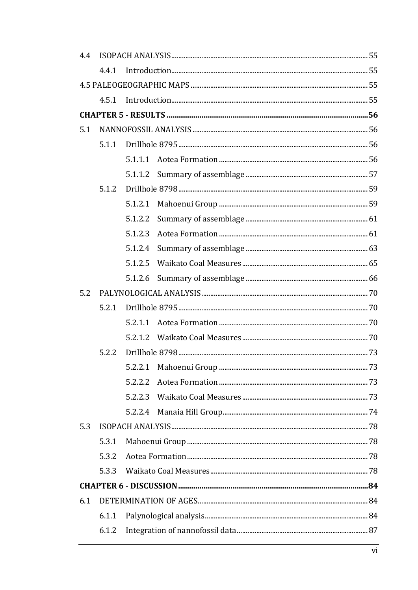| 4.4 |       |         |  |  |
|-----|-------|---------|--|--|
|     | 4.4.1 |         |  |  |
|     |       |         |  |  |
|     | 4.5.1 |         |  |  |
|     |       |         |  |  |
| 5.1 |       |         |  |  |
|     | 5.1.1 |         |  |  |
|     |       | 5.1.1.1 |  |  |
|     |       | 5.1.1.2 |  |  |
|     | 5.1.2 |         |  |  |
|     |       | 5.1.2.1 |  |  |
|     |       | 5.1.2.2 |  |  |
|     |       | 5.1.2.3 |  |  |
|     |       | 5.1.2.4 |  |  |
|     |       | 5.1.2.5 |  |  |
|     |       | 5.1.2.6 |  |  |
| 5.2 |       |         |  |  |
|     | 5.2.1 |         |  |  |
|     |       | 5.2.1.1 |  |  |
|     |       | 5.2.1.2 |  |  |
|     | 5.2.2 |         |  |  |
|     |       |         |  |  |
|     |       | 5.2.2.2 |  |  |
|     |       | 5.2.2.3 |  |  |
|     |       |         |  |  |
| 5.3 |       |         |  |  |
|     | 5.3.1 |         |  |  |
|     | 5.3.2 |         |  |  |
|     | 5.3.3 |         |  |  |
|     |       |         |  |  |
| 6.1 |       |         |  |  |
|     | 6.1.1 |         |  |  |
|     | 6.1.2 |         |  |  |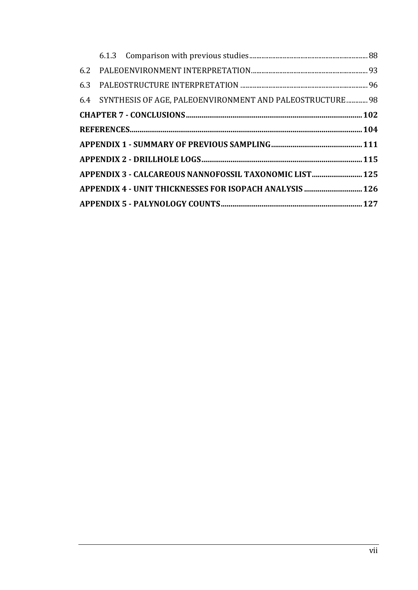|  | 6.4 SYNTHESIS OF AGE, PALEOENVIRONMENT AND PALEOSTRUCTURE 98 |  |
|--|--------------------------------------------------------------|--|
|  |                                                              |  |
|  |                                                              |  |
|  |                                                              |  |
|  |                                                              |  |
|  | APPENDIX 3 - CALCAREOUS NANNOFOSSIL TAXONOMIC LIST 125       |  |
|  | APPENDIX 4 - UNIT THICKNESSES FOR ISOPACH ANALYSIS  126      |  |
|  |                                                              |  |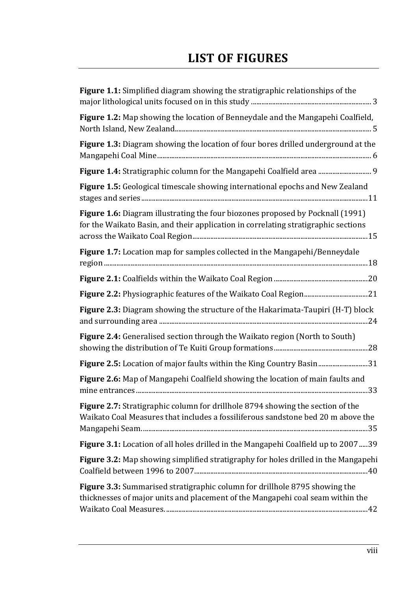## <span id="page-9-0"></span>**LIST OF FIGURES**

| Figure 1.1: Simplified diagram showing the stratigraphic relationships of the                                                                                        |
|----------------------------------------------------------------------------------------------------------------------------------------------------------------------|
| Figure 1.2: Map showing the location of Benneydale and the Mangapehi Coalfield,                                                                                      |
| Figure 1.3: Diagram showing the location of four bores drilled underground at the                                                                                    |
|                                                                                                                                                                      |
| Figure 1.5: Geological timescale showing international epochs and New Zealand                                                                                        |
| Figure 1.6: Diagram illustrating the four biozones proposed by Pocknall (1991)<br>for the Waikato Basin, and their application in correlating stratigraphic sections |
| Figure 1.7: Location map for samples collected in the Mangapehi/Benneydale                                                                                           |
|                                                                                                                                                                      |
|                                                                                                                                                                      |
| Figure 2.3: Diagram showing the structure of the Hakarimata-Taupiri (H-T) block                                                                                      |
| Figure 2.4: Generalised section through the Waikato region (North to South)                                                                                          |
| Figure 2.5: Location of major faults within the King Country Basin31                                                                                                 |
| Figure 2.6: Map of Mangapehi Coalfield showing the location of main faults and                                                                                       |
| Figure 2.7: Stratigraphic column for drillhole 8794 showing the section of the<br>Waikato Coal Measures that includes a fossiliferous sandstone bed 20 m above the   |
| Figure 3.1: Location of all holes drilled in the Mangapehi Coalfield up to 200739                                                                                    |
| Figure 3.2: Map showing simplified stratigraphy for holes drilled in the Mangapehi                                                                                   |
| Figure 3.3: Summarised stratigraphic column for drillhole 8795 showing the<br>thicknesses of major units and placement of the Mangapehi coal seam within the         |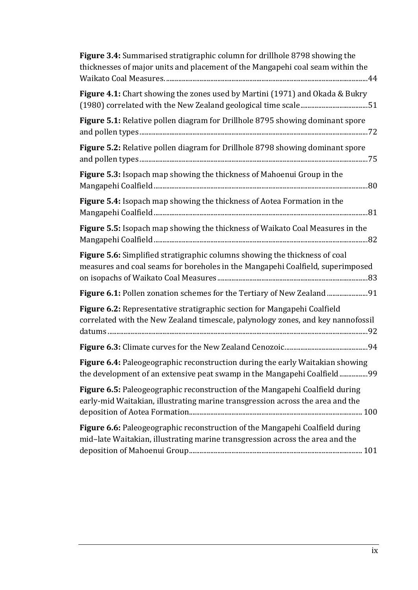| Figure 3.4: Summarised stratigraphic column for drillhole 8798 showing the<br>thicknesses of major units and placement of the Mangapehi coal seam within the        |
|---------------------------------------------------------------------------------------------------------------------------------------------------------------------|
| Figure 4.1: Chart showing the zones used by Martini (1971) and Okada & Bukry                                                                                        |
| Figure 5.1: Relative pollen diagram for Drillhole 8795 showing dominant spore                                                                                       |
| Figure 5.2: Relative pollen diagram for Drillhole 8798 showing dominant spore                                                                                       |
| Figure 5.3: Isopach map showing the thickness of Mahoenui Group in the                                                                                              |
| Figure 5.4: Isopach map showing the thickness of Aotea Formation in the                                                                                             |
| Figure 5.5: Isopach map showing the thickness of Waikato Coal Measures in the                                                                                       |
| <b>Figure 5.6:</b> Simplified stratigraphic columns showing the thickness of coal<br>measures and coal seams for boreholes in the Mangapehi Coalfield, superimposed |
|                                                                                                                                                                     |
| Figure 6.2: Representative stratigraphic section for Mangapehi Coalfield<br>correlated with the New Zealand timescale, palynology zones, and key nannofossil        |
|                                                                                                                                                                     |
| Figure 6.4: Paleogeographic reconstruction during the early Waitakian showing<br>the development of an extensive peat swamp in the Mangapehi Coalfield99            |
| Figure 6.5: Paleogeographic reconstruction of the Mangapehi Coalfield during<br>early-mid Waitakian, illustrating marine transgression across the area and the      |
| Figure 6.6: Paleogeographic reconstruction of the Mangapehi Coalfield during<br>mid-late Waitakian, illustrating marine transgression across the area and the       |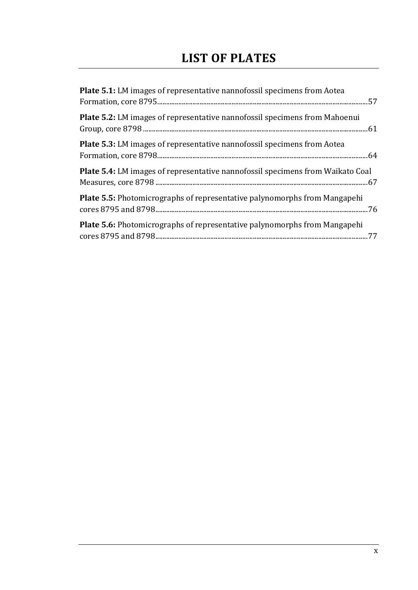## **LIST OF PLATES**

<span id="page-11-0"></span>

| <b>Plate 5.1:</b> LM images of representative nannofossil specimens from Aotea        |
|---------------------------------------------------------------------------------------|
| <b>Plate 5.2:</b> LM images of representative nannofossil specimens from Mahoenui     |
| <b>Plate 5.3:</b> LM images of representative nannofossil specimens from Aotea        |
| <b>Plate 5.4:</b> LM images of representative nannofossil specimens from Waikato Coal |
| Plate 5.5: Photomicrographs of representative palynomorphs from Mangapehi             |
| <b>Plate 5.6:</b> Photomicrographs of representative palynomorphs from Mangapehi      |